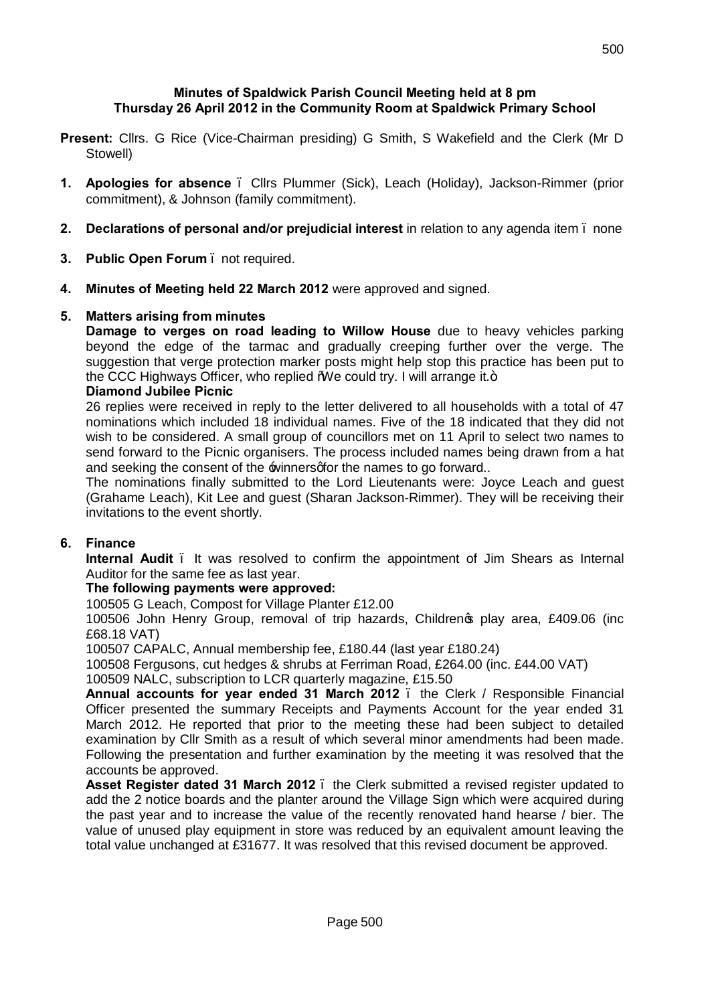### **Minutes of Spaldwick Parish Council Meeting held at 8 pm Thursday 26 April 2012 in the Community Room at Spaldwick Primary School**

- **Present:** Cllrs. G Rice (Vice-Chairman presiding) G Smith, S Wakefield and the Clerk (Mr D Stowell)
- **1. Apologies for absence**  Cllrs Plummer (Sick), Leach (Holiday), Jackson-Rimmer (prior commitment), & Johnson (family commitment).
- **2. Declarations of personal and/or prejudicial interest** in relation to any agenda item none
- **3. Public Open Forum**  not required.
- **4. Minutes of Meeting held 22 March 2012** were approved and signed.

### **5. Matters arising from minutes**

**Damage to verges on road leading to Willow House** due to heavy vehicles parking beyond the edge of the tarmac and gradually creeping further over the verge. The suggestion that verge protection marker posts might help stop this practice has been put to the CCC Highways Officer, who replied  $W$ e could try. I will arrange it. $+$ 

### **Diamond Jubilee Picnic**

26 replies were received in reply to the letter delivered to all households with a total of 47 nominations which included 18 individual names. Five of the 18 indicated that they did not wish to be considered. A small group of councillors met on 11 April to select two names to send forward to the Picnic organisers. The process included names being drawn from a hat and seeking the consent of the winners of the names to go forward..

The nominations finally submitted to the Lord Lieutenants were: Joyce Leach and guest (Grahame Leach), Kit Lee and guest (Sharan Jackson-Rimmer). They will be receiving their invitations to the event shortly.

## **6. Finance**

**Internal Audit** . It was resolved to confirm the appointment of Jim Shears as Internal Auditor for the same fee as last year.

## **The following payments were approved:**

100505 G Leach, Compost for Village Planter £12.00

100506 John Henry Group, removal of trip hazards, Childrenos play area, £409.06 (inc £68.18 VAT)

100507 CAPALC, Annual membership fee, £180.44 (last year £180.24)

100508 Fergusons, cut hedges & shrubs at Ferriman Road, £264.00 (inc. £44.00 VAT)

100509 NALC, subscription to LCR quarterly magazine, £15.50

**Annual accounts for year ended 31 March 2012** – the Clerk / Responsible Financial Officer presented the summary Receipts and Payments Account for the year ended 31 March 2012. He reported that prior to the meeting these had been subject to detailed examination by Cllr Smith as a result of which several minor amendments had been made. Following the presentation and further examination by the meeting it was resolved that the accounts be approved.

**Asset Register dated 31 March 2012** – the Clerk submitted a revised register updated to add the 2 notice boards and the planter around the Village Sign which were acquired during the past year and to increase the value of the recently renovated hand hearse / bier. The value of unused play equipment in store was reduced by an equivalent amount leaving the total value unchanged at £31677. It was resolved that this revised document be approved.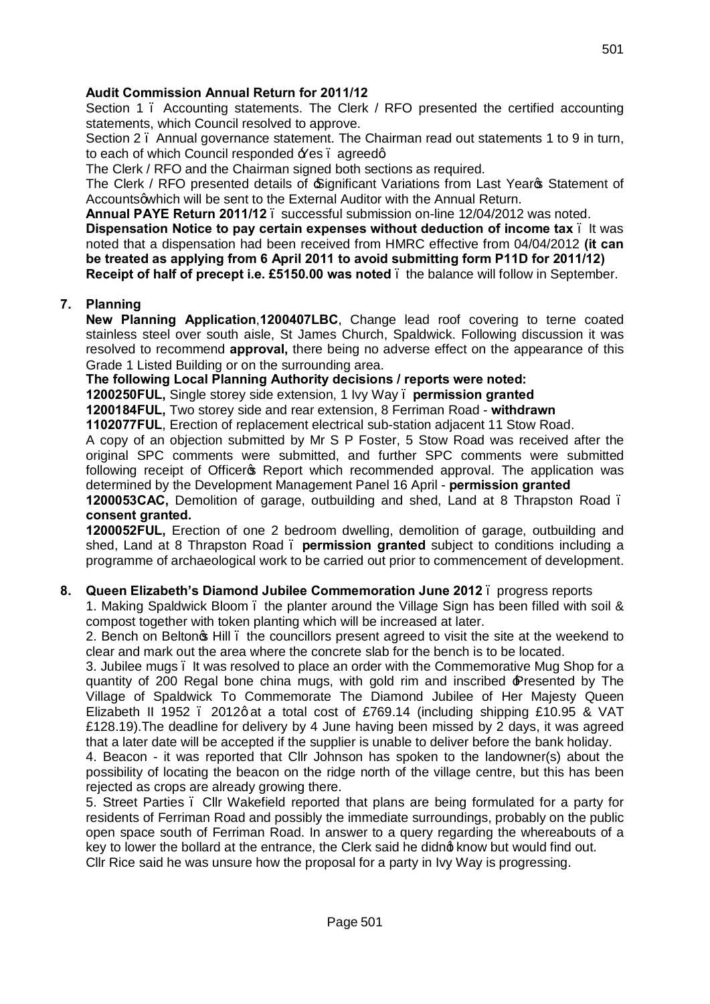## **Audit Commission Annual Return for 2011/12**

Section 1 – Accounting statements. The Clerk / RFO presented the certified accounting statements, which Council resolved to approve.

Section 2 – Annual governance statement. The Chairman read out statements 1 to 9 in turn, to each of which Council responded  $\angle$ Yes . agreedg.

The Clerk / RFO and the Chairman signed both sections as required.

The Clerk / RFO presented details of  $\equiv$  Significant Variations from Last Yearos Statement of Accounts q which will be sent to the External Auditor with the Annual Return.

**Annual PAYE Return 2011/12** – successful submission on-line 12/04/2012 was noted.

**Dispensation Notice to pay certain expenses without deduction of income tax** – It was noted that a dispensation had been received from HMRC effective from 04/04/2012 **(it can be treated as applying from 6 April 2011 to avoid submitting form P11D for 2011/12) Receipt of half of precept i.e. £5150.00 was noted** – the balance will follow in September.

### **7. Planning**

**New Planning Application**,**1200407LBC**, [Change lead roof covering to terne coated](http://publicaccess.huntsdc.gov.uk/online-applications/applicationDetails.do;jsessionid=5EB8C9E31F3BDEDF009250EA96A31D5B?activeTab=summary&keyVal=M0VFYMIK8M000)  [stainless steel over south aisle,](http://publicaccess.huntsdc.gov.uk/online-applications/applicationDetails.do;jsessionid=5EB8C9E31F3BDEDF009250EA96A31D5B?activeTab=summary&keyVal=M0VFYMIK8M000) St James Church, Spaldwick. Following discussion it was resolved to recommend **approval,** there being no adverse effect on the appearance of this Grade 1 Listed Building or on the surrounding area.

**The following Local Planning Authority decisions / reports were noted:**

**1200250FUL,** Single storey side extension, 1 Ivy Way – **permission granted**

**1200184FUL,** Two storey side and rear extension, 8 Ferriman Road - **withdrawn**

**1102077FUL**, Erection of replacement electrical sub-station adjacent 11 Stow Road.

A copy of an objection submitted by Mr S P Foster, 5 Stow Road was received after the original SPC comments were submitted, and further SPC comments were submitted following receipt of Officer & Report which recommended approval. The application was determined by the Development Management Panel 16 April - **permission granted**

**1200053CAC,** Demolition of garage, outbuilding and shed, Land at 8 Thrapston Road – **consent granted.**

**1200052FUL,** Erection of one 2 bedroom dwelling, demolition of garage, outbuilding and shed, Land at 8 Thrapston Road – **permission granted** subject to conditions including a programme of archaeological work to be carried out prior to commencement of development.

### **8. Queen Elizabeth's Diamond Jubilee Commemoration June 2012** – progress reports

1. Making Spaldwick Bloom – the planter around the Village Sign has been filled with soil & compost together with token planting which will be increased at later.

2. Bench on Beltonos Hill  $\blacksquare$  the councillors present agreed to visit the site at the weekend to clear and mark out the area where the concrete slab for the bench is to be located.

3. Jubilee mugs – It was resolved to place an order with the Commemorative Mug Shop for a quantity of 200 Regal bone china mugs, with gold rim and inscribed 'Presented by The Village of Spaldwick To Commemorate The Diamond Jubilee of Her Majesty Queen Elizabeth II 1952 . 2012 gat a total cost of £769.14 (including shipping £10.95 & VAT £128.19).The deadline for delivery by 4 June having been missed by 2 days, it was agreed that a later date will be accepted if the supplier is unable to deliver before the bank holiday.

4. Beacon - it was reported that Cllr Johnson has spoken to the landowner(s) about the possibility of locating the beacon on the ridge north of the village centre, but this has been rejected as crops are already growing there.

5. Street Parties – Cllr Wakefield reported that plans are being formulated for a party for residents of Ferriman Road and possibly the immediate surroundings, probably on the public open space south of Ferriman Road. In answer to a query regarding the whereabouts of a key to lower the bollard at the entrance, the Clerk said he didnot know but would find out. Cllr Rice said he was unsure how the proposal for a party in Ivy Way is progressing.